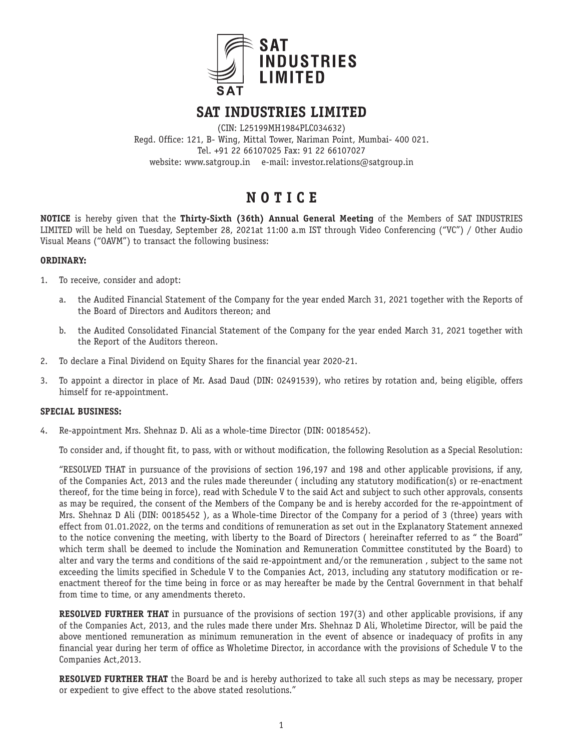

# **SAT INDUSTRIES LIMITED**

(CIN: L25199MH1984PLC034632) Regd. Office: 121, B- Wing, Mittal Tower, Nariman Point, Mumbai- 400 021. Tel. +91 22 66107025 Fax: 91 22 66107027 website: www.satgroup.in e-mail: investor.relations@satgroup.in

# **N O T I C E**

**NOTICE** is hereby given that the **Thirty-Sixth (36th) Annual General Meeting** of the Members of SAT INDUSTRIES LIMITED will be held on Tuesday, September 28, 2021at 11:00 a.m IST through Video Conferencing ("VC") / Other Audio Visual Means ("OAVM") to transact the following business:

#### **ORDINARY:**

- 1. To receive, consider and adopt:
	- a. the Audited Financial Statement of the Company for the year ended March 31, 2021 together with the Reports of the Board of Directors and Auditors thereon; and
	- b. the Audited Consolidated Financial Statement of the Company for the year ended March 31, 2021 together with the Report of the Auditors thereon.
- 2. To declare a Final Dividend on Equity Shares for the financial year 2020-21.
- 3. To appoint a director in place of Mr. Asad Daud (DIN: 02491539), who retires by rotation and, being eligible, offers himself for re-appointment.

# **SPECIAL BUSINESS:**

4. Re-appointment Mrs. Shehnaz D. Ali as a whole-time Director (DIN: 00185452).

To consider and, if thought fit, to pass, with or without modification, the following Resolution as a Special Resolution:

"RESOLVED THAT in pursuance of the provisions of section 196,197 and 198 and other applicable provisions, if any, of the Companies Act, 2013 and the rules made thereunder ( including any statutory modification(s) or re-enactment thereof, for the time being in force), read with Schedule V to the said Act and subject to such other approvals, consents as may be required, the consent of the Members of the Company be and is hereby accorded for the re-appointment of Mrs. Shehnaz D Ali (DIN: 00185452 ), as a Whole-time Director of the Company for a period of 3 (three) years with effect from 01.01.2022, on the terms and conditions of remuneration as set out in the Explanatory Statement annexed to the notice convening the meeting, with liberty to the Board of Directors ( hereinafter referred to as " the Board" which term shall be deemed to include the Nomination and Remuneration Committee constituted by the Board) to alter and vary the terms and conditions of the said re-appointment and/or the remuneration , subject to the same not exceeding the limits specified in Schedule V to the Companies Act, 2013, including any statutory modification or reenactment thereof for the time being in force or as may hereafter be made by the Central Government in that behalf from time to time, or any amendments thereto.

**RESOLVED FURTHER THAT** in pursuance of the provisions of section 197(3) and other applicable provisions, if any of the Companies Act, 2013, and the rules made there under Mrs. Shehnaz D Ali, Wholetime Director, will be paid the above mentioned remuneration as minimum remuneration in the event of absence or inadequacy of profits in any financial year during her term of office as Wholetime Director, in accordance with the provisions of Schedule V to the Companies Act,2013.

**RESOLVED FURTHER THAT** the Board be and is hereby authorized to take all such steps as may be necessary, proper or expedient to give effect to the above stated resolutions."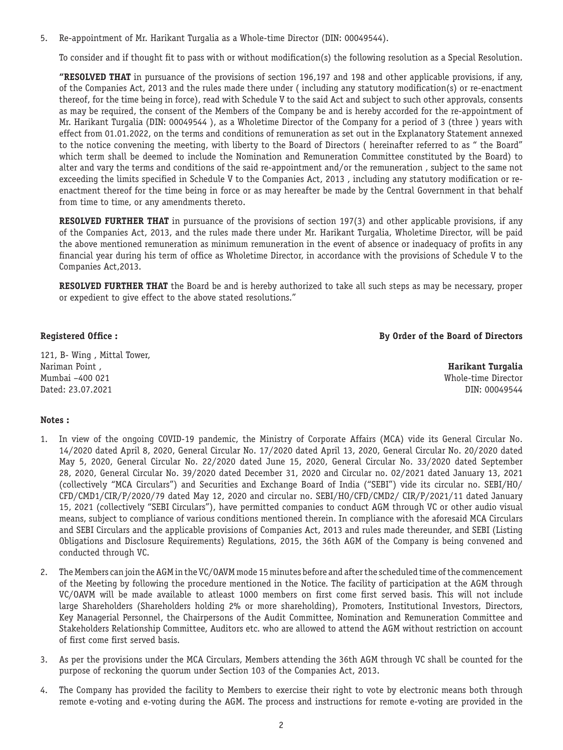5. Re-appointment of Mr. Harikant Turgalia as a Whole-time Director (DIN: 00049544).

To consider and if thought fit to pass with or without modification(s) the following resolution as a Special Resolution.

**"RESOLVED THAT** in pursuance of the provisions of section 196,197 and 198 and other applicable provisions, if any, of the Companies Act, 2013 and the rules made there under ( including any statutory modification(s) or re-enactment thereof, for the time being in force), read with Schedule V to the said Act and subject to such other approvals, consents as may be required, the consent of the Members of the Company be and is hereby accorded for the re-appointment of Mr. Harikant Turgalia (DIN: 00049544 ), as a Wholetime Director of the Company for a period of 3 (three ) years with effect from 01.01.2022, on the terms and conditions of remuneration as set out in the Explanatory Statement annexed to the notice convening the meeting, with liberty to the Board of Directors ( hereinafter referred to as " the Board" which term shall be deemed to include the Nomination and Remuneration Committee constituted by the Board) to alter and vary the terms and conditions of the said re-appointment and/or the remuneration , subject to the same not exceeding the limits specified in Schedule V to the Companies Act, 2013 , including any statutory modification or reenactment thereof for the time being in force or as may hereafter be made by the Central Government in that behalf from time to time, or any amendments thereto.

**RESOLVED FURTHER THAT** in pursuance of the provisions of section 197(3) and other applicable provisions, if any of the Companies Act, 2013, and the rules made there under Mr. Harikant Turgalia, Wholetime Director, will be paid the above mentioned remuneration as minimum remuneration in the event of absence or inadequacy of profits in any financial year during his term of office as Wholetime Director, in accordance with the provisions of Schedule V to the Companies Act,2013.

**RESOLVED FURTHER THAT** the Board be and is hereby authorized to take all such steps as may be necessary, proper or expedient to give effect to the above stated resolutions."

**Registered Office : By Order of the Board of Directors**

121, B- Wing , Mittal Tower, Nariman Point , **Harikant Turgalia** Mumbai –400 021 Whole-time Director Dated: 23.07.2021 DIN: 00049544

#### **Notes :**

- 1. In view of the ongoing COVID-19 pandemic, the Ministry of Corporate Affairs (MCA) vide its General Circular No. 14/2020 dated April 8, 2020, General Circular No. 17/2020 dated April 13, 2020, General Circular No. 20/2020 dated May 5, 2020, General Circular No. 22/2020 dated June 15, 2020, General Circular No. 33/2020 dated September 28, 2020, General Circular No. 39/2020 dated December 31, 2020 and Circular no. 02/2021 dated January 13, 2021 (collectively "MCA Circulars") and Securities and Exchange Board of India ("SEBI") vide its circular no. SEBI/HO/ CFD/CMD1/CIR/P/2020/79 dated May 12, 2020 and circular no. SEBI/HO/CFD/CMD2/ CIR/P/2021/11 dated January 15, 2021 (collectively "SEBI Circulars"), have permitted companies to conduct AGM through VC or other audio visual means, subject to compliance of various conditions mentioned therein. In compliance with the aforesaid MCA Circulars and SEBI Circulars and the applicable provisions of Companies Act, 2013 and rules made thereunder, and SEBI (Listing Obligations and Disclosure Requirements) Regulations, 2015, the 36th AGM of the Company is being convened and conducted through VC.
- 2. The Members can join the AGM in the VC/OAVM mode 15 minutes before and after the scheduled time of the commencement of the Meeting by following the procedure mentioned in the Notice. The facility of participation at the AGM through VC/OAVM will be made available to atleast 1000 members on first come first served basis. This will not include large Shareholders (Shareholders holding 2% or more shareholding), Promoters, Institutional Investors, Directors, Key Managerial Personnel, the Chairpersons of the Audit Committee, Nomination and Remuneration Committee and Stakeholders Relationship Committee, Auditors etc. who are allowed to attend the AGM without restriction on account of first come first served basis.
- 3. As per the provisions under the MCA Circulars, Members attending the 36th AGM through VC shall be counted for the purpose of reckoning the quorum under Section 103 of the Companies Act, 2013.
- 4. The Company has provided the facility to Members to exercise their right to vote by electronic means both through remote e-voting and e-voting during the AGM. The process and instructions for remote e-voting are provided in the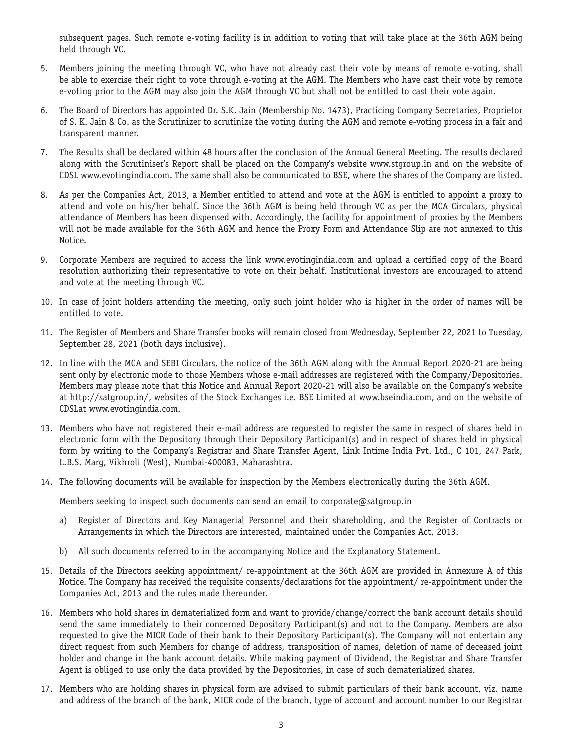subsequent pages. Such remote e-voting facility is in addition to voting that will take place at the 36th AGM being held through VC.

- 5. Members joining the meeting through VC, who have not already cast their vote by means of remote e-voting, shall be able to exercise their right to vote through e-voting at the AGM. The Members who have cast their vote by remote e-voting prior to the AGM may also join the AGM through VC but shall not be entitled to cast their vote again.
- 6. The Board of Directors has appointed Dr. S.K. Jain (Membership No. 1473), Practicing Company Secretaries, Proprietor of S. K. Jain & Co. as the Scrutinizer to scrutinize the voting during the AGM and remote e-voting process in a fair and transparent manner.
- 7. The Results shall be declared within 48 hours after the conclusion of the Annual General Meeting. The results declared along with the Scrutiniser's Report shall be placed on the Company's website www.stgroup.in and on the website of CDSL www.evotingindia.com. The same shall also be communicated to BSE, where the shares of the Company are listed.
- 8. As per the Companies Act, 2013, a Member entitled to attend and vote at the AGM is entitled to appoint a proxy to attend and vote on his/her behalf. Since the 36th AGM is being held through VC as per the MCA Circulars, physical attendance of Members has been dispensed with. Accordingly, the facility for appointment of proxies by the Members will not be made available for the 36th AGM and hence the Proxy Form and Attendance Slip are not annexed to this Notice.
- 9. Corporate Members are required to access the link www.evotingindia.com and upload a certified copy of the Board resolution authorizing their representative to vote on their behalf. Institutional investors are encouraged to attend and vote at the meeting through VC.
- 10. In case of joint holders attending the meeting, only such joint holder who is higher in the order of names will be entitled to vote.
- 11. The Register of Members and Share Transfer books will remain closed from Wednesday, September 22, 2021 to Tuesday, September 28, 2021 (both days inclusive).
- 12. In line with the MCA and SEBI Circulars, the notice of the 36th AGM along with the Annual Report 2020-21 are being sent only by electronic mode to those Members whose e-mail addresses are registered with the Company/Depositories. Members may please note that this Notice and Annual Report 2020-21 will also be available on the Company's website at http://satgroup.in/, websites of the Stock Exchanges i.e. BSE Limited at www.bseindia.com, and on the website of CDSLat www.evotingindia.com.
- 13. Members who have not registered their e-mail address are requested to register the same in respect of shares held in electronic form with the Depository through their Depository Participant(s) and in respect of shares held in physical form by writing to the Company's Registrar and Share Transfer Agent, Link Intime India Pvt. Ltd., C 101, 247 Park, L.B.S. Marg, Vikhroli (West), Mumbai-400083, Maharashtra.
- 14. The following documents will be available for inspection by the Members electronically during the 36th AGM.

Members seeking to inspect such documents can send an email to corporate@satgroup.in

- a) Register of Directors and Key Managerial Personnel and their shareholding, and the Register of Contracts or Arrangements in which the Directors are interested, maintained under the Companies Act, 2013.
- b) All such documents referred to in the accompanying Notice and the Explanatory Statement.
- 15. Details of the Directors seeking appointment/ re-appointment at the 36th AGM are provided in Annexure A of this Notice. The Company has received the requisite consents/declarations for the appointment/ re-appointment under the Companies Act, 2013 and the rules made thereunder.
- 16. Members who hold shares in dematerialized form and want to provide/change/correct the bank account details should send the same immediately to their concerned Depository Participant(s) and not to the Company. Members are also requested to give the MICR Code of their bank to their Depository Participant(s). The Company will not entertain any direct request from such Members for change of address, transposition of names, deletion of name of deceased joint holder and change in the bank account details. While making payment of Dividend, the Registrar and Share Transfer Agent is obliged to use only the data provided by the Depositories, in case of such dematerialized shares.
- 17. Members who are holding shares in physical form are advised to submit particulars of their bank account, viz. name and address of the branch of the bank, MICR code of the branch, type of account and account number to our Registrar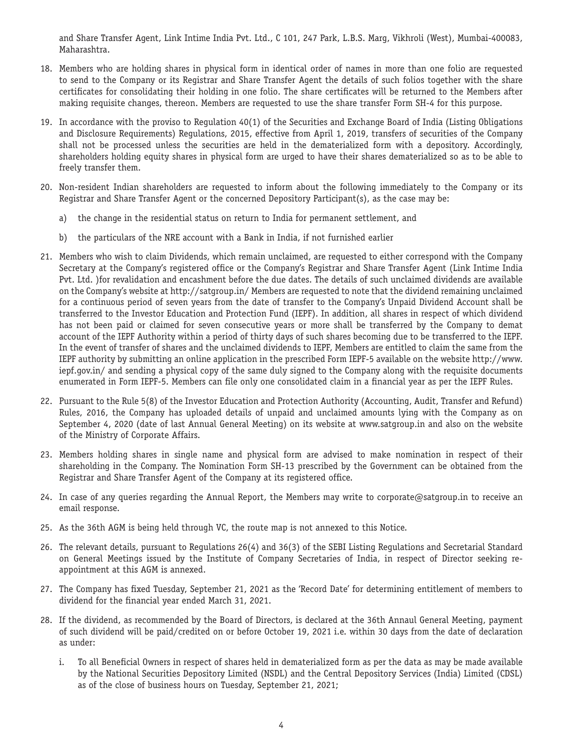and Share Transfer Agent, Link Intime India Pvt. Ltd., C 101, 247 Park, L.B.S. Marg, Vikhroli (West), Mumbai-400083, Maharashtra.

- 18. Members who are holding shares in physical form in identical order of names in more than one folio are requested to send to the Company or its Registrar and Share Transfer Agent the details of such folios together with the share certificates for consolidating their holding in one folio. The share certificates will be returned to the Members after making requisite changes, thereon. Members are requested to use the share transfer Form SH-4 for this purpose.
- 19. In accordance with the proviso to Regulation 40(1) of the Securities and Exchange Board of India (Listing Obligations and Disclosure Requirements) Regulations, 2015, effective from April 1, 2019, transfers of securities of the Company shall not be processed unless the securities are held in the dematerialized form with a depository. Accordingly, shareholders holding equity shares in physical form are urged to have their shares dematerialized so as to be able to freely transfer them.
- 20. Non-resident Indian shareholders are requested to inform about the following immediately to the Company or its Registrar and Share Transfer Agent or the concerned Depository Participant(s), as the case may be:
	- a) the change in the residential status on return to India for permanent settlement, and
	- b) the particulars of the NRE account with a Bank in India, if not furnished earlier
- 21. Members who wish to claim Dividends, which remain unclaimed, are requested to either correspond with the Company Secretary at the Company's registered office or the Company's Registrar and Share Transfer Agent (Link Intime India Pvt. Ltd. )for revalidation and encashment before the due dates. The details of such unclaimed dividends are available on the Company's website at http://satgroup.in/ Members are requested to note that the dividend remaining unclaimed for a continuous period of seven years from the date of transfer to the Company's Unpaid Dividend Account shall be transferred to the Investor Education and Protection Fund (IEPF). In addition, all shares in respect of which dividend has not been paid or claimed for seven consecutive years or more shall be transferred by the Company to demat account of the IEPF Authority within a period of thirty days of such shares becoming due to be transferred to the IEPF. In the event of transfer of shares and the unclaimed dividends to IEPF, Members are entitled to claim the same from the IEPF authority by submitting an online application in the prescribed Form IEPF-5 available on the website http://www. iepf.gov.in/ and sending a physical copy of the same duly signed to the Company along with the requisite documents enumerated in Form IEPF-5. Members can file only one consolidated claim in a financial year as per the IEPF Rules.
- 22. Pursuant to the Rule 5(8) of the Investor Education and Protection Authority (Accounting, Audit, Transfer and Refund) Rules, 2016, the Company has uploaded details of unpaid and unclaimed amounts lying with the Company as on September 4, 2020 (date of last Annual General Meeting) on its website at www.satgroup.in and also on the website of the Ministry of Corporate Affairs.
- 23. Members holding shares in single name and physical form are advised to make nomination in respect of their shareholding in the Company. The Nomination Form SH-13 prescribed by the Government can be obtained from the Registrar and Share Transfer Agent of the Company at its registered office.
- 24. In case of any queries regarding the Annual Report, the Members may write to corporate@satgroup.in to receive an email response.
- 25. As the 36th AGM is being held through VC, the route map is not annexed to this Notice.
- 26. The relevant details, pursuant to Regulations 26(4) and 36(3) of the SEBI Listing Regulations and Secretarial Standard on General Meetings issued by the Institute of Company Secretaries of India, in respect of Director seeking reappointment at this AGM is annexed.
- 27. The Company has fixed Tuesday, September 21, 2021 as the 'Record Date' for determining entitlement of members to dividend for the financial year ended March 31, 2021.
- 28. If the dividend, as recommended by the Board of Directors, is declared at the 36th Annaul General Meeting, payment of such dividend will be paid/credited on or before October 19, 2021 i.e. within 30 days from the date of declaration as under:
	- i. To all Beneficial Owners in respect of shares held in dematerialized form as per the data as may be made available by the National Securities Depository Limited (NSDL) and the Central Depository Services (India) Limited (CDSL) as of the close of business hours on Tuesday, September 21, 2021;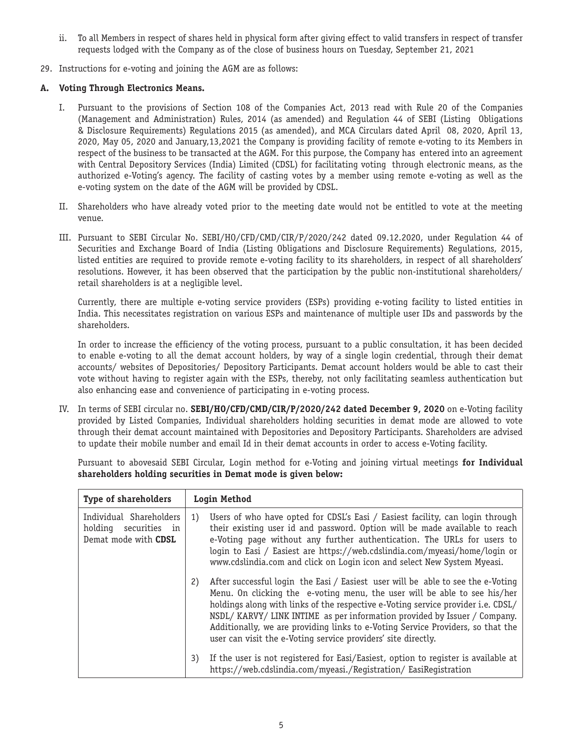- ii. To all Members in respect of shares held in physical form after giving effect to valid transfers in respect of transfer requests lodged with the Company as of the close of business hours on Tuesday, September 21, 2021
- 29. Instructions for e-voting and joining the AGM are as follows:

# **A. Voting Through Electronics Means.**

- I. Pursuant to the provisions of Section 108 of the Companies Act, 2013 read with Rule 20 of the Companies (Management and Administration) Rules, 2014 (as amended) and Regulation 44 of SEBI (Listing Obligations & Disclosure Requirements) Regulations 2015 (as amended), and MCA Circulars dated April 08, 2020, April 13, 2020, May 05, 2020 and January,13,2021 the Company is providing facility of remote e-voting to its Members in respect of the business to be transacted at the AGM. For this purpose, the Company has entered into an agreement with Central Depository Services (India) Limited (CDSL) for facilitating voting through electronic means, as the authorized e-Voting's agency. The facility of casting votes by a member using remote e-voting as well as the e-voting system on the date of the AGM will be provided by CDSL.
- II. Shareholders who have already voted prior to the meeting date would not be entitled to vote at the meeting venue.
- III. Pursuant to SEBI Circular No. SEBI/HO/CFD/CMD/CIR/P/2020/242 dated 09.12.2020, under Regulation 44 of Securities and Exchange Board of India (Listing Obligations and Disclosure Requirements) Regulations, 2015, listed entities are required to provide remote e-voting facility to its shareholders, in respect of all shareholders' resolutions. However, it has been observed that the participation by the public non-institutional shareholders/ retail shareholders is at a negligible level.

Currently, there are multiple e-voting service providers (ESPs) providing e-voting facility to listed entities in India. This necessitates registration on various ESPs and maintenance of multiple user IDs and passwords by the shareholders.

In order to increase the efficiency of the voting process, pursuant to a public consultation, it has been decided to enable e-voting to all the demat account holders, by way of a single login credential, through their demat accounts/ websites of Depositories/ Depository Participants. Demat account holders would be able to cast their vote without having to register again with the ESPs, thereby, not only facilitating seamless authentication but also enhancing ease and convenience of participating in e-voting process.

IV. In terms of SEBI circular no. **SEBI/HO/CFD/CMD/CIR/P/2020/242 dated December 9, 2020** on e-Voting facility provided by Listed Companies, Individual shareholders holding securities in demat mode are allowed to vote through their demat account maintained with Depositories and Depository Participants. Shareholders are advised to update their mobile number and email Id in their demat accounts in order to access e-Voting facility.

Pursuant to abovesaid SEBI Circular, Login method for e-Voting and joining virtual meetings **for Individual shareholders holding securities in Demat mode is given below:**

| <b>Type of shareholders</b>                                                           | Login Method                                                                                                                                                                                                                                                                                                                                                                                                                                                                          |
|---------------------------------------------------------------------------------------|---------------------------------------------------------------------------------------------------------------------------------------------------------------------------------------------------------------------------------------------------------------------------------------------------------------------------------------------------------------------------------------------------------------------------------------------------------------------------------------|
| Individual Shareholders<br>holding<br>securities<br>in<br>Demat mode with <b>CDSL</b> | Users of who have opted for CDSL's Easi / Easiest facility, can login through<br>1)<br>their existing user id and password. Option will be made available to reach<br>e-Voting page without any further authentication. The URLs for users to<br>login to Easi / Easiest are https://web.cdslindia.com/myeasi/home/login or<br>www.cdslindia.com and click on Login icon and select New System Myeasi.                                                                                |
|                                                                                       | After successful login the Easi / Easiest user will be able to see the e-Voting<br>2)<br>Menu. On clicking the e-voting menu, the user will be able to see his/her<br>holdings along with links of the respective e-Voting service provider i.e. CDSL/<br>NSDL/KARVY/LINK INTIME as per information provided by Issuer / Company.<br>Additionally, we are providing links to e-Voting Service Providers, so that the<br>user can visit the e-Voting service providers' site directly. |
|                                                                                       | If the user is not reqistered for Easi/Easiest, option to reqister is available at<br>3)<br>https://web.cdslindia.com/myeasi./Registration/EasiRegistration                                                                                                                                                                                                                                                                                                                           |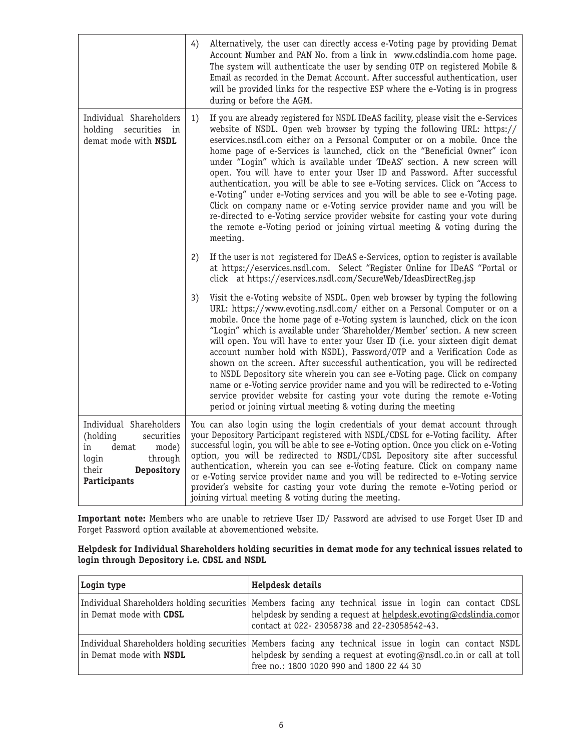|                                                                                                                                      | 4) | Alternatively, the user can directly access e-Voting page by providing Demat<br>Account Number and PAN No. from a link in www.cdslindia.com home page.<br>The system will authenticate the user by sending OTP on registered Mobile &<br>Email as recorded in the Demat Account. After successful authentication, user<br>will be provided links for the respective ESP where the e-Voting is in progress<br>during or before the AGM.                                                                                                                                                                                                                                                                                                                                                                                                                                                                  |
|--------------------------------------------------------------------------------------------------------------------------------------|----|---------------------------------------------------------------------------------------------------------------------------------------------------------------------------------------------------------------------------------------------------------------------------------------------------------------------------------------------------------------------------------------------------------------------------------------------------------------------------------------------------------------------------------------------------------------------------------------------------------------------------------------------------------------------------------------------------------------------------------------------------------------------------------------------------------------------------------------------------------------------------------------------------------|
| Individual Shareholders<br>holding securities<br>in<br>demat mode with NSDL                                                          | 1) | If you are already registered for NSDL IDeAS facility, please visit the e-Services<br>website of NSDL. Open web browser by typing the following URL: https://<br>eservices.nsdl.com either on a Personal Computer or on a mobile. Once the<br>home page of e-Services is launched, click on the "Beneficial Owner" icon<br>under "Login" which is available under 'IDeAS' section. A new screen will<br>open. You will have to enter your User ID and Password. After successful<br>authentication, you will be able to see e-Voting services. Click on "Access to<br>e-Voting" under e-Voting services and you will be able to see e-Voting page.<br>Click on company name or e-Voting service provider name and you will be<br>re-directed to e-Voting service provider website for casting your vote during<br>the remote e-Voting period or joining virtual meeting & voting during the<br>meeting. |
|                                                                                                                                      | 2) | If the user is not registered for IDeAS e-Services, option to register is available<br>at https://eservices.nsdl.com. Select "Register Online for IDeAS "Portal or<br>click at https://eservices.nsdl.com/SecureWeb/IdeasDirectReg.jsp                                                                                                                                                                                                                                                                                                                                                                                                                                                                                                                                                                                                                                                                  |
|                                                                                                                                      | 3) | Visit the e-Voting website of NSDL. Open web browser by typing the following<br>URL: https://www.evoting.nsdl.com/ either on a Personal Computer or on a<br>mobile. Once the home page of e-Voting system is launched, click on the icon<br>"Login" which is available under 'Shareholder/Member' section. A new screen<br>will open. You will have to enter your User ID (i.e. your sixteen digit demat<br>account number hold with NSDL), Password/OTP and a Verification Code as<br>shown on the screen. After successful authentication, you will be redirected<br>to NSDL Depository site wherein you can see e-Voting page. Click on company<br>name or e-Voting service provider name and you will be redirected to e-Voting<br>service provider website for casting your vote during the remote e-Voting<br>period or joining virtual meeting & voting during the meeting                       |
| Individual Shareholders<br>securities<br>(holding<br>demat<br>mode)<br>in<br>through<br>login<br>their<br>Depository<br>Participants |    | You can also login using the login credentials of your demat account through<br>your Depository Participant registered with NSDL/CDSL for e-Voting facility. After<br>successful login, you will be able to see e-Voting option. Once you click on e-Voting<br>option, you will be redirected to NSDL/CDSL Depository site after successful<br>authentication, wherein you can see e-Voting feature. Click on company name<br>or e-Voting service provider name and you will be redirected to e-Voting service<br>provider's website for casting your vote during the remote e-Voting period or<br>joining virtual meeting & voting during the meeting.                                                                                                                                                                                                                                                 |

**Important note:** Members who are unable to retrieve User ID/ Password are advised to use Forget User ID and Forget Password option available at abovementioned website.

# **Helpdesk for Individual Shareholders holding securities in demat mode for any technical issues related to login through Depository i.e. CDSL and NSDL**

| Login type                     | Helpdesk details                                                                                                                                                                                                              |
|--------------------------------|-------------------------------------------------------------------------------------------------------------------------------------------------------------------------------------------------------------------------------|
| in Demat mode with CDSL        | Individual Shareholders holding securities   Members facing any technical issue in login can contact CDSL<br>helpdesk by sending a request at helpdesk.evoting@cdslindia.comor<br>contact at 022-23058738 and 22-23058542-43. |
| in Demat mode with <b>NSDL</b> | Individual Shareholders holding securities   Members facing any technical issue in login can contact NSDL<br>helpdesk by sending a request at evoting@nsdl.co.in or call at toll<br>free no.: 1800 1020 990 and 1800 22 44 30 |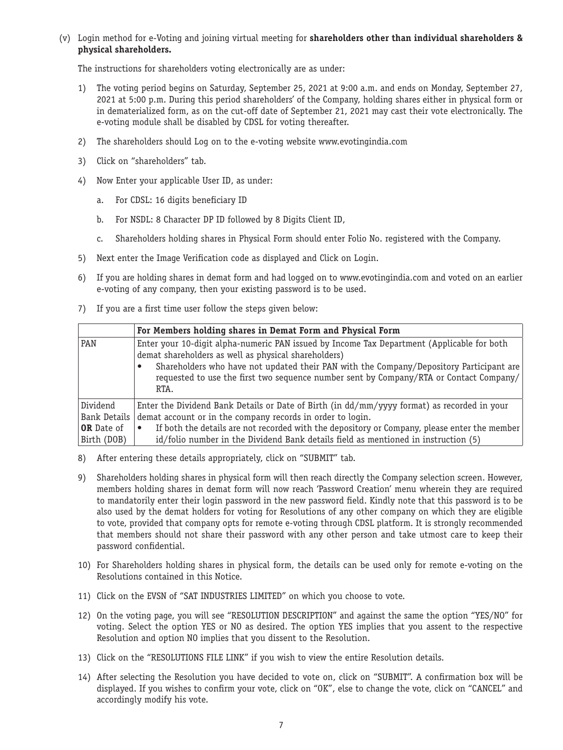(v) Login method for e-Voting and joining virtual meeting for **shareholders other than individual shareholders & physical shareholders.**

The instructions for shareholders voting electronically are as under:

- 1) The voting period begins on Saturday, September 25, 2021 at 9:00 a.m. and ends on Monday, September 27, 2021 at 5:00 p.m. During this period shareholders' of the Company, holding shares either in physical form or in dematerialized form, as on the cut-off date of September 21, 2021 may cast their vote electronically. The e-voting module shall be disabled by CDSL for voting thereafter.
- 2) The shareholders should Log on to the e-voting website www.evotingindia.com
- 3) Click on "shareholders" tab.
- 4) Now Enter your applicable User ID, as under:
	- a. For CDSL: 16 digits beneficiary ID
	- b. For NSDL: 8 Character DP ID followed by 8 Digits Client ID,
	- c. Shareholders holding shares in Physical Form should enter Folio No. registered with the Company.
- 5) Next enter the Image Verification code as displayed and Click on Login.
- 6) If you are holding shares in demat form and had logged on to www.evotingindia.com and voted on an earlier e-voting of any company, then your existing password is to be used.
- 7) If you are a first time user follow the steps given below:

|                   | For Members holding shares in Demat Form and Physical Form                                                                                                                                                                                                                                                                                      |
|-------------------|-------------------------------------------------------------------------------------------------------------------------------------------------------------------------------------------------------------------------------------------------------------------------------------------------------------------------------------------------|
| PAN               | Enter your 10-digit alpha-numeric PAN issued by Income Tax Department (Applicable for both<br>demat shareholders as well as physical shareholders)<br>Shareholders who have not updated their PAN with the Company/Depository Participant are<br>requested to use the first two sequence number sent by Company/RTA or Contact Company/<br>RTA. |
| Dividend          | Enter the Dividend Bank Details or Date of Birth (in dd/mm/yyyy format) as recorded in your                                                                                                                                                                                                                                                     |
| Bank Details      | demat account or in the company records in order to login.                                                                                                                                                                                                                                                                                      |
| <b>OR</b> Date of | If both the details are not recorded with the depository or Company, please enter the member<br>$\bullet$                                                                                                                                                                                                                                       |
| Birth (DOB)       | id/folio number in the Dividend Bank details field as mentioned in instruction (5)                                                                                                                                                                                                                                                              |

- 8) After entering these details appropriately, click on "SUBMIT" tab.
- 9) Shareholders holding shares in physical form will then reach directly the Company selection screen. However, members holding shares in demat form will now reach 'Password Creation' menu wherein they are required to mandatorily enter their login password in the new password field. Kindly note that this password is to be also used by the demat holders for voting for Resolutions of any other company on which they are eligible to vote, provided that company opts for remote e-voting through CDSL platform. It is strongly recommended that members should not share their password with any other person and take utmost care to keep their password confidential.
- 10) For Shareholders holding shares in physical form, the details can be used only for remote e-voting on the Resolutions contained in this Notice.
- 11) Click on the EVSN of "SAT INDUSTRIES LIMITED" on which you choose to vote.
- 12) On the voting page, you will see "RESOLUTION DESCRIPTION" and against the same the option "YES/NO" for voting. Select the option YES or NO as desired. The option YES implies that you assent to the respective Resolution and option NO implies that you dissent to the Resolution.
- 13) Click on the "RESOLUTIONS FILE LINK" if you wish to view the entire Resolution details.
- 14) After selecting the Resolution you have decided to vote on, click on "SUBMIT". A confirmation box will be displayed. If you wishes to confirm your vote, click on "OK", else to change the vote, click on "CANCEL" and accordingly modify his vote.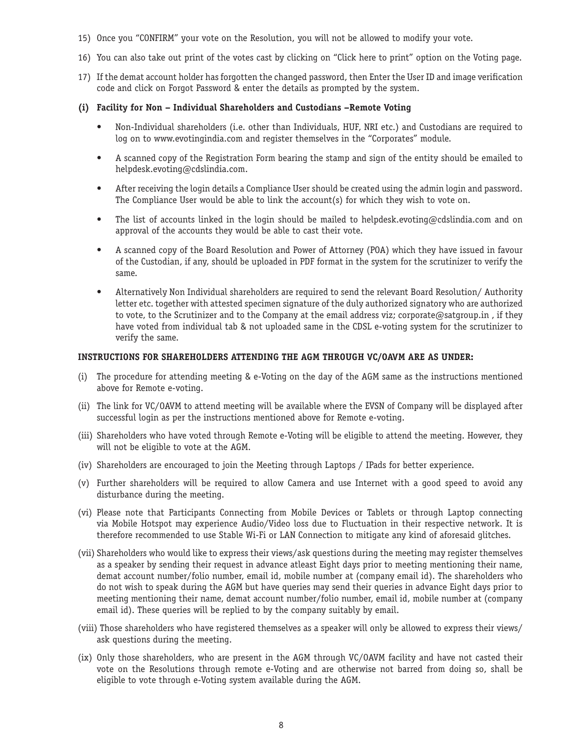- 15) Once you "CONFIRM" your vote on the Resolution, you will not be allowed to modify your vote.
- 16) You can also take out print of the votes cast by clicking on "Click here to print" option on the Voting page.
- 17) If the demat account holder has forgotten the changed password, then Enter the User ID and image verification code and click on Forgot Password & enter the details as prompted by the system.
- **(i) Facility for Non Individual Shareholders and Custodians –Remote Voting**
	- • Non-Individual shareholders (i.e. other than Individuals, HUF, NRI etc.) and Custodians are required to log on to www.evotingindia.com and register themselves in the "Corporates" module.
	- A scanned copy of the Registration Form bearing the stamp and sign of the entity should be emailed to helpdesk.evoting@cdslindia.com.
	- After receiving the login details a Compliance User should be created using the admin login and password. The Compliance User would be able to link the account(s) for which they wish to vote on.
	- The list of accounts linked in the login should be mailed to helpdesk.evoting@cdslindia.com and on approval of the accounts they would be able to cast their vote.
	- A scanned copy of the Board Resolution and Power of Attorney (POA) which they have issued in favour of the Custodian, if any, should be uploaded in PDF format in the system for the scrutinizer to verify the same.
	- Alternatively Non Individual shareholders are required to send the relevant Board Resolution/Authority letter etc. together with attested specimen signature of the duly authorized signatory who are authorized to vote, to the Scrutinizer and to the Company at the email address viz; corporate@satgroup.in, if they have voted from individual tab & not uploaded same in the CDSL e-voting system for the scrutinizer to verify the same.

#### **INSTRUCTIONS FOR SHAREHOLDERS ATTENDING THE AGM THROUGH VC/OAVM ARE AS UNDER:**

- (i) The procedure for attending meeting & e-Voting on the day of the AGM same as the instructions mentioned above for Remote e-voting.
- (ii) The link for VC/OAVM to attend meeting will be available where the EVSN of Company will be displayed after successful login as per the instructions mentioned above for Remote e-voting.
- (iii) Shareholders who have voted through Remote e-Voting will be eligible to attend the meeting. However, they will not be eligible to vote at the AGM.
- (iv) Shareholders are encouraged to join the Meeting through Laptops / IPads for better experience.
- (v) Further shareholders will be required to allow Camera and use Internet with a good speed to avoid any disturbance during the meeting.
- (vi) Please note that Participants Connecting from Mobile Devices or Tablets or through Laptop connecting via Mobile Hotspot may experience Audio/Video loss due to Fluctuation in their respective network. It is therefore recommended to use Stable Wi-Fi or LAN Connection to mitigate any kind of aforesaid glitches.
- (vii) Shareholders who would like to express their views/ask questions during the meeting may register themselves as a speaker by sending their request in advance atleast Eight days prior to meeting mentioning their name, demat account number/folio number, email id, mobile number at (company email id). The shareholders who do not wish to speak during the AGM but have queries may send their queries in advance Eight days prior to meeting mentioning their name, demat account number/folio number, email id, mobile number at (company email id). These queries will be replied to by the company suitably by email.
- (viii) Those shareholders who have registered themselves as a speaker will only be allowed to express their views/ ask questions during the meeting.
- (ix) Only those shareholders, who are present in the AGM through VC/OAVM facility and have not casted their vote on the Resolutions through remote e-Voting and are otherwise not barred from doing so, shall be eligible to vote through e-Voting system available during the AGM.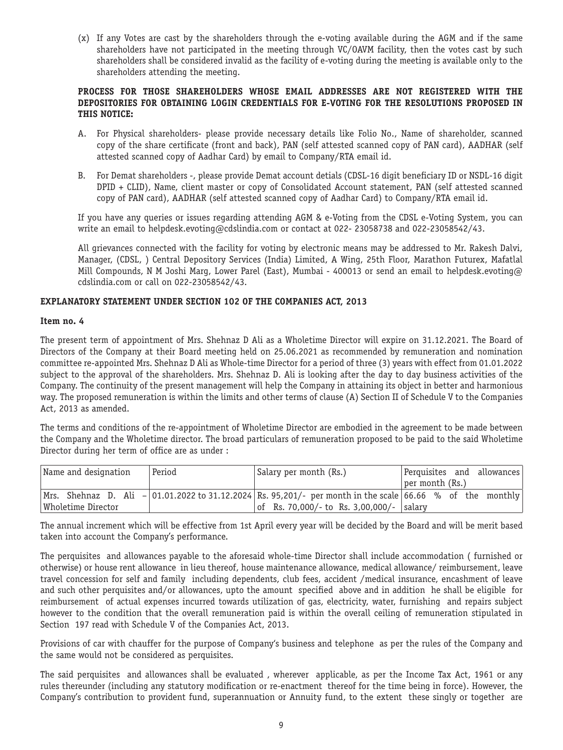(x) If any Votes are cast by the shareholders through the e-voting available during the AGM and if the same shareholders have not participated in the meeting through VC/OAVM facility, then the votes cast by such shareholders shall be considered invalid as the facility of e-voting during the meeting is available only to the shareholders attending the meeting.

### **PROCESS FOR THOSE SHAREHOLDERS WHOSE EMAIL ADDRESSES ARE NOT REGISTERED WITH THE DEPOSITORIES FOR OBTAINING LOGIN CREDENTIALS FOR E-VOTING FOR THE RESOLUTIONS PROPOSED IN THIS NOTICE:**

- A. For Physical shareholders- please provide necessary details like Folio No., Name of shareholder, scanned copy of the share certificate (front and back), PAN (self attested scanned copy of PAN card), AADHAR (self attested scanned copy of Aadhar Card) by email to Company/RTA email id.
- B. For Demat shareholders -, please provide Demat account detials (CDSL-16 digit beneficiary ID or NSDL-16 digit DPID + CLID), Name, client master or copy of Consolidated Account statement, PAN (self attested scanned copy of PAN card), AADHAR (self attested scanned copy of Aadhar Card) to Company/RTA email id.

If you have any queries or issues regarding attending AGM & e-Voting from the CDSL e-Voting System, you can write an email to helpdesk.evoting@cdslindia.com or contact at 022- 23058738 and 022-23058542/43.

All grievances connected with the facility for voting by electronic means may be addressed to Mr. Rakesh Dalvi, Manager, (CDSL, ) Central Depository Services (India) Limited, A Wing, 25th Floor, Marathon Futurex, Mafatlal Mill Compounds, N M Joshi Marg, Lower Parel (East), Mumbai - 400013 or send an email to helpdesk.evoting@ cdslindia.com or call on 022-23058542/43.

# **EXPLANATORY STATEMENT UNDER SECTION 102 OF THE COMPANIES ACT, 2013**

#### **Item no. 4**

The present term of appointment of Mrs. Shehnaz D Ali as a Wholetime Director will expire on 31.12.2021. The Board of Directors of the Company at their Board meeting held on 25.06.2021 as recommended by remuneration and nomination committee re-appointed Mrs. Shehnaz D Ali as Whole-time Director for a period of three (3) years with effect from 01.01.2022 subject to the approval of the shareholders. Mrs. Shehnaz D. Ali is looking after the day to day business activities of the Company. The continuity of the present management will help the Company in attaining its object in better and harmonious way. The proposed remuneration is within the limits and other terms of clause (A) Section II of Schedule V to the Companies Act, 2013 as amended.

The terms and conditions of the re-appointment of Wholetime Director are embodied in the agreement to be made between the Company and the Wholetime director. The broad particulars of remuneration proposed to be paid to the said Wholetime Director during her term of office are as under :

| Name and designation | Period | Salary per month (Rs.)                                                                                         | Perquisites and allowances |
|----------------------|--------|----------------------------------------------------------------------------------------------------------------|----------------------------|
|                      |        |                                                                                                                | $ per$ month $(Rs.)$       |
|                      |        | Mrs. Shehnaz D. Ali -  01.01.2022 to 31.12.2024   Rs. 95,201/- per month in the scale   66.66 % of the monthly |                            |
| Wholetime Director   |        | of Rs. 70,000/- to Rs. 3,00,000/-   salary                                                                     |                            |

The annual increment which will be effective from 1st April every year will be decided by the Board and will be merit based taken into account the Company's performance.

The perquisites and allowances payable to the aforesaid whole-time Director shall include accommodation ( furnished or otherwise) or house rent allowance in lieu thereof, house maintenance allowance, medical allowance/ reimbursement, leave travel concession for self and family including dependents, club fees, accident /medical insurance, encashment of leave and such other perquisites and/or allowances, upto the amount specified above and in addition he shall be eligible for reimbursement of actual expenses incurred towards utilization of gas, electricity, water, furnishing and repairs subject however to the condition that the overall remuneration paid is within the overall ceiling of remuneration stipulated in Section 197 read with Schedule V of the Companies Act, 2013.

Provisions of car with chauffer for the purpose of Company's business and telephone as per the rules of the Company and the same would not be considered as perquisites.

The said perquisites and allowances shall be evaluated , wherever applicable, as per the Income Tax Act, 1961 or any rules thereunder (including any statutory modification or re-enactment thereof for the time being in force). However, the Company's contribution to provident fund, superannuation or Annuity fund, to the extent these singly or together are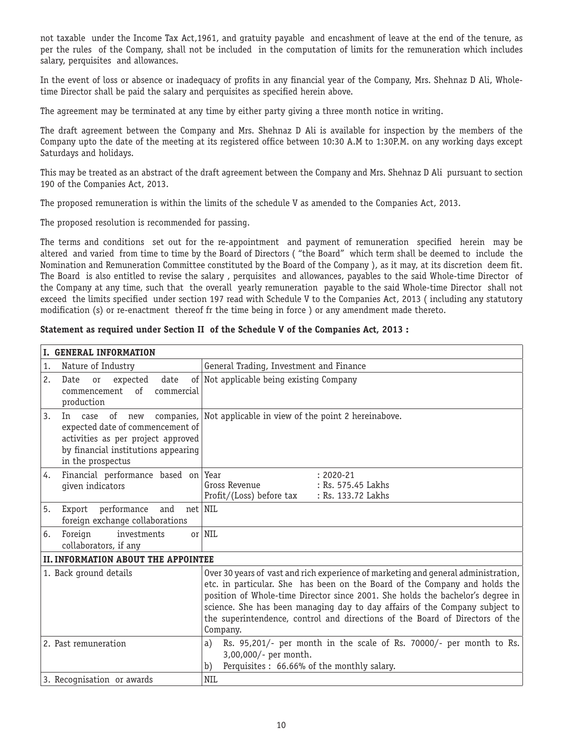not taxable under the Income Tax Act,1961, and gratuity payable and encashment of leave at the end of the tenure, as per the rules of the Company, shall not be included in the computation of limits for the remuneration which includes salary, perquisites and allowances.

In the event of loss or absence or inadequacy of profits in any financial year of the Company, Mrs. Shehnaz D Ali, Wholetime Director shall be paid the salary and perquisites as specified herein above.

The agreement may be terminated at any time by either party giving a three month notice in writing.

The draft agreement between the Company and Mrs. Shehnaz D Ali is available for inspection by the members of the Company upto the date of the meeting at its registered office between 10:30 A.M to 1:30P.M. on any working days except Saturdays and holidays.

This may be treated as an abstract of the draft agreement between the Company and Mrs. Shehnaz D Ali pursuant to section 190 of the Companies Act, 2013.

The proposed remuneration is within the limits of the schedule V as amended to the Companies Act, 2013.

The proposed resolution is recommended for passing.

The terms and conditions set out for the re-appointment and payment of remuneration specified herein may be altered and varied from time to time by the Board of Directors ( "the Board" which term shall be deemed to include the Nomination and Remuneration Committee constituted by the Board of the Company ), as it may, at its discretion deem fit. The Board is also entitled to revise the salary , perquisites and allowances, payables to the said Whole-time Director of the Company at any time, such that the overall yearly remuneration payable to the said Whole-time Director shall not exceed the limits specified under section 197 read with Schedule V to the Companies Act, 2013 ( including any statutory modification (s) or re-enactment thereof fr the time being in force ) or any amendment made thereto.

# **Statement as required under Section II of the Schedule V of the Companies Act, 2013 :**

| I. GENERAL INFORMATION                                                                                                                                    |                                                                                                                                                                                                                                                                                                                                                                                                                               |  |  |
|-----------------------------------------------------------------------------------------------------------------------------------------------------------|-------------------------------------------------------------------------------------------------------------------------------------------------------------------------------------------------------------------------------------------------------------------------------------------------------------------------------------------------------------------------------------------------------------------------------|--|--|
| Nature of Industry<br>1.                                                                                                                                  | General Trading, Investment and Finance                                                                                                                                                                                                                                                                                                                                                                                       |  |  |
| 2.<br>Date<br>expected<br>date<br>or<br>of<br>commencement<br>commercial<br>production                                                                    | of Not applicable being existing Company                                                                                                                                                                                                                                                                                                                                                                                      |  |  |
| 3.<br>In case<br>of<br>expected date of commencement of<br>activities as per project approved<br>by financial institutions appearing<br>in the prospectus | new companies, Not applicable in view of the point 2 hereinabove.                                                                                                                                                                                                                                                                                                                                                             |  |  |
| Financial performance based on Year<br>4.<br>given indicators                                                                                             | $: 2020 - 21$<br>Gross Revenue<br>: Rs. 575.45 Lakhs<br>Profit/(Loss) before tax<br>: Rs. 133.72 Lakhs                                                                                                                                                                                                                                                                                                                        |  |  |
| Export performance<br>and<br>5.<br>foreign exchange collaborations                                                                                        | net   NIL                                                                                                                                                                                                                                                                                                                                                                                                                     |  |  |
| investments<br>Foreign<br>6.<br>collaborators, if any                                                                                                     | or $\vert$ NIL                                                                                                                                                                                                                                                                                                                                                                                                                |  |  |
| <b>II. INFORMATION ABOUT THE APPOINTEE</b>                                                                                                                |                                                                                                                                                                                                                                                                                                                                                                                                                               |  |  |
| 1. Back ground details                                                                                                                                    | Over 30 years of vast and rich experience of marketing and general administration,<br>etc. in particular. She has been on the Board of the Company and holds the<br>position of Whole-time Director since 2001. She holds the bachelor's degree in<br>science. She has been managing day to day affairs of the Company subject to<br>the superintendence, control and directions of the Board of Directors of the<br>Company. |  |  |
| 2. Past remuneration                                                                                                                                      | Rs. 95,201/- per month in the scale of Rs. 70000/- per month to Rs.<br>a)<br>3,00,000/- per month.<br>Perquisites : 66.66% of the monthly salary.<br>b)                                                                                                                                                                                                                                                                       |  |  |
| 3. Recognisation or awards                                                                                                                                | <b>NIL</b>                                                                                                                                                                                                                                                                                                                                                                                                                    |  |  |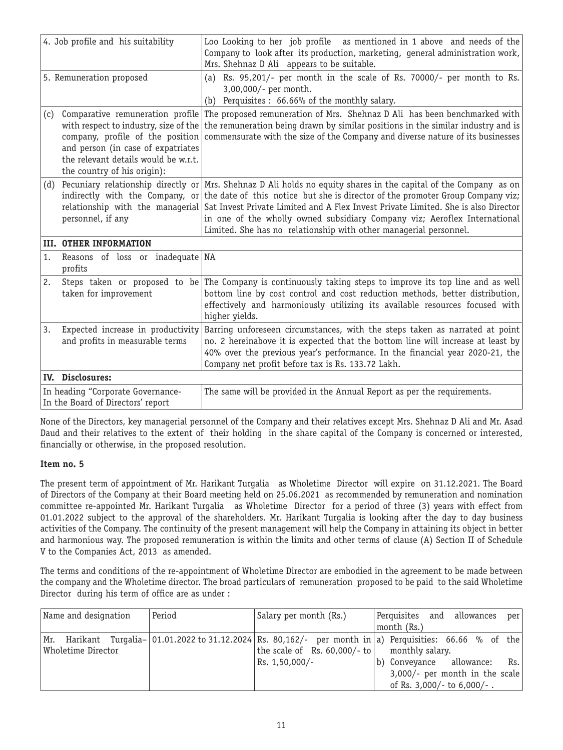| 4. Job profile and his suitability                                     |                                                                                                                                                                                                                            | Loo Looking to her job profile as mentioned in 1 above and needs of the<br>Company to look after its production, marketing, general administration work,<br>Mrs. Shehnaz D Ali appears to be suitable.                                                                                                                                                                                                  |
|------------------------------------------------------------------------|----------------------------------------------------------------------------------------------------------------------------------------------------------------------------------------------------------------------------|---------------------------------------------------------------------------------------------------------------------------------------------------------------------------------------------------------------------------------------------------------------------------------------------------------------------------------------------------------------------------------------------------------|
|                                                                        | 5. Remuneration proposed                                                                                                                                                                                                   | Rs. 95,201/- per month in the scale of Rs. 70000/- per month to Rs.<br>(a)<br>3,00,000/- per month.<br>Perquisites : 66.66% of the monthly salary.<br>(b)                                                                                                                                                                                                                                               |
| (c)                                                                    | Comparative remuneration profile<br>with respect to industry, size of the<br>company, profile of the position<br>and person (in case of expatriates<br>the relevant details would be w.r.t.<br>the country of his origin): | The proposed remuneration of Mrs. Shehnaz D Ali has been benchmarked with<br>the remuneration being drawn by similar positions in the similar industry and is<br>commensurate with the size of the Company and diverse nature of its businesses                                                                                                                                                         |
| (d)                                                                    | Pecuniary relationship directly or<br>indirectly with the Company, or<br>relationship with the managerial<br>personnel, if any                                                                                             | Mrs. Shehnaz D Ali holds no equity shares in the capital of the Company as on<br>the date of this notice but she is director of the promoter Group Company viz;<br>Sat Invest Private Limited and A Flex Invest Private Limited. She is also Director<br>in one of the wholly owned subsidiary Company viz; Aeroflex International<br>Limited. She has no relationship with other managerial personnel. |
|                                                                        | <b>III. OTHER INFORMATION</b>                                                                                                                                                                                              |                                                                                                                                                                                                                                                                                                                                                                                                         |
| 1.                                                                     | Reasons of loss or inadequate NA<br>profits                                                                                                                                                                                |                                                                                                                                                                                                                                                                                                                                                                                                         |
| 2.                                                                     | Steps taken or proposed to be<br>taken for improvement                                                                                                                                                                     | The Company is continuously taking steps to improve its top line and as well<br>bottom line by cost control and cost reduction methods, better distribution,<br>effectively and harmoniously utilizing its available resources focused with<br>higher yields.                                                                                                                                           |
| 3.                                                                     | Expected increase in productivity<br>and profits in measurable terms                                                                                                                                                       | Barring unforeseen circumstances, with the steps taken as narrated at point<br>no. 2 hereinabove it is expected that the bottom line will increase at least by<br>40% over the previous year's performance. In the financial year 2020-21, the<br>Company net profit before tax is Rs. 133.72 Lakh.                                                                                                     |
|                                                                        | IV. Disclosures:                                                                                                                                                                                                           |                                                                                                                                                                                                                                                                                                                                                                                                         |
| In heading "Corporate Governance-<br>In the Board of Directors' report |                                                                                                                                                                                                                            | The same will be provided in the Annual Report as per the requirements.                                                                                                                                                                                                                                                                                                                                 |

None of the Directors, key managerial personnel of the Company and their relatives except Mrs. Shehnaz D Ali and Mr. Asad Daud and their relatives to the extent of their holding in the share capital of the Company is concerned or interested, financially or otherwise, in the proposed resolution.

# **Item no. 5**

The present term of appointment of Mr. Harikant Turgalia as Wholetime Director will expire on 31.12.2021. The Board of Directors of the Company at their Board meeting held on 25.06.2021 as recommended by remuneration and nomination committee re-appointed Mr. Harikant Turgalia as Wholetime Director for a period of three (3) years with effect from 01.01.2022 subject to the approval of the shareholders. Mr. Harikant Turgalia is looking after the day to day business activities of the Company. The continuity of the present management will help the Company in attaining its object in better and harmonious way. The proposed remuneration is within the limits and other terms of clause (A) Section II of Schedule V to the Companies Act, 2013 as amended.

The terms and conditions of the re-appointment of Wholetime Director are embodied in the agreement to be made between the company and the Wholetime director. The broad particulars of remuneration proposed to be paid to the said Wholetime Director during his term of office are as under :

| Name and designation | l Period | Salary per month (Rs.)                            | Perquisites and allowances per                                                                            |
|----------------------|----------|---------------------------------------------------|-----------------------------------------------------------------------------------------------------------|
|                      |          |                                                   | month (Rs.)                                                                                               |
|                      |          |                                                   | Mr. Harikant Turqalia- 01.01.2022 to 31.12.2024 Rs. 80,162/- per month in a) Perquisities: 66.66 % of the |
| Wholetime Director   |          | the scale of Rs. $60,000/$ - to   monthly salary. |                                                                                                           |
|                      |          | Rs. 1,50,000/-                                    | Rs.<br>b) Conveyance allowance:                                                                           |
|                      |          |                                                   | $3,000/$ - per month in the scale                                                                         |
|                      |          |                                                   | of Rs. 3,000/- to 6,000/-.                                                                                |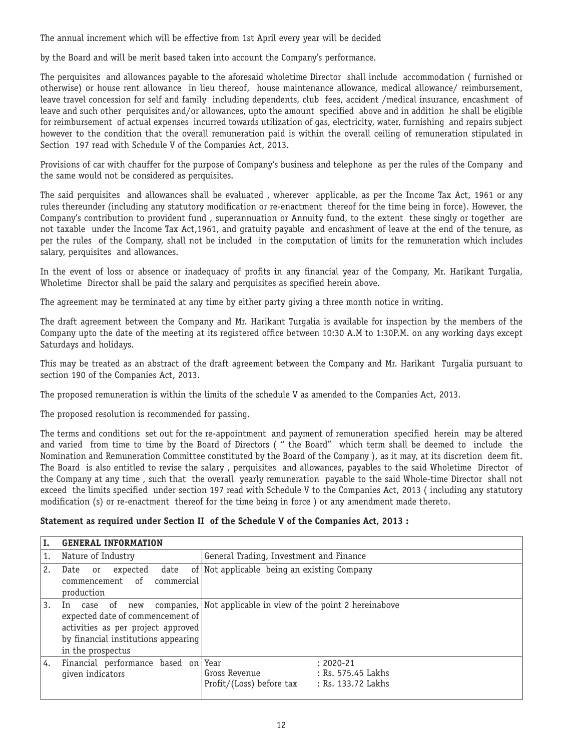The annual increment which will be effective from 1st April every year will be decided

by the Board and will be merit based taken into account the Company's performance.

The perquisites and allowances payable to the aforesaid wholetime Director shall include accommodation ( furnished or otherwise) or house rent allowance in lieu thereof, house maintenance allowance, medical allowance/ reimbursement, leave travel concession for self and family including dependents, club fees, accident /medical insurance, encashment of leave and such other perquisites and/or allowances, upto the amount specified above and in addition he shall be eligible for reimbursement of actual expenses incurred towards utilization of gas, electricity, water, furnishing and repairs subject however to the condition that the overall remuneration paid is within the overall ceiling of remuneration stipulated in Section 197 read with Schedule V of the Companies Act, 2013.

Provisions of car with chauffer for the purpose of Company's business and telephone as per the rules of the Company and the same would not be considered as perquisites.

The said perquisites and allowances shall be evaluated , wherever applicable, as per the Income Tax Act, 1961 or any rules thereunder (including any statutory modification or re-enactment thereof for the time being in force). However, the Company's contribution to provident fund , superannuation or Annuity fund, to the extent these singly or together are not taxable under the Income Tax Act,1961, and gratuity payable and encashment of leave at the end of the tenure, as per the rules of the Company, shall not be included in the computation of limits for the remuneration which includes salary, perquisites and allowances.

In the event of loss or absence or inadequacy of profits in any financial year of the Company, Mr. Harikant Turgalia, Wholetime Director shall be paid the salary and perquisites as specified herein above.

The agreement may be terminated at any time by either party giving a three month notice in writing.

The draft agreement between the Company and Mr. Harikant Turgalia is available for inspection by the members of the Company upto the date of the meeting at its registered office between 10:30 A.M to 1:30P.M. on any working days except Saturdays and holidays.

This may be treated as an abstract of the draft agreement between the Company and Mr. Harikant Turgalia pursuant to section 190 of the Companies Act, 2013.

The proposed remuneration is within the limits of the schedule V as amended to the Companies Act, 2013.

The proposed resolution is recommended for passing.

The terms and conditions set out for the re-appointment and payment of remuneration specified herein may be altered and varied from time to time by the Board of Directors ( " the Board" which term shall be deemed to include the Nomination and Remuneration Committee constituted by the Board of the Company ), as it may, at its discretion deem fit. The Board is also entitled to revise the salary , perquisites and allowances, payables to the said Wholetime Director of the Company at any time , such that the overall yearly remuneration payable to the said Whole-time Director shall not exceed the limits specified under section 197 read with Schedule V to the Companies Act, 2013 ( including any statutory modification (s) or re-enactment thereof for the time being in force ) or any amendment made thereto.

# **Statement as required under Section II of the Schedule V of the Companies Act, 2013 :**

|    | <b>GENERAL INFORMATION</b>                                                                                                                                 |                                                                                                                |
|----|------------------------------------------------------------------------------------------------------------------------------------------------------------|----------------------------------------------------------------------------------------------------------------|
|    | Nature of Industry                                                                                                                                         | General Trading, Investment and Finance                                                                        |
| 2. | date<br>expected<br>Date<br>or<br>commencement of<br>commercial<br>production                                                                              | of Not applicable being an existing Company                                                                    |
| 3. | case of<br>new<br>In<br>expected date of commencement of<br>activities as per project approved<br>by financial institutions appearing<br>in the prospectus | companies, Not applicable in view of the point 2 hereinabove                                                   |
| 4. | Financial performance based on<br>given indicators                                                                                                         | Year<br>$: 2020 - 21$<br>Gross Revenue<br>: Rs. 575.45 Lakhs<br>Profit/(Loss) before tax<br>: Rs. 133.72 Lakhs |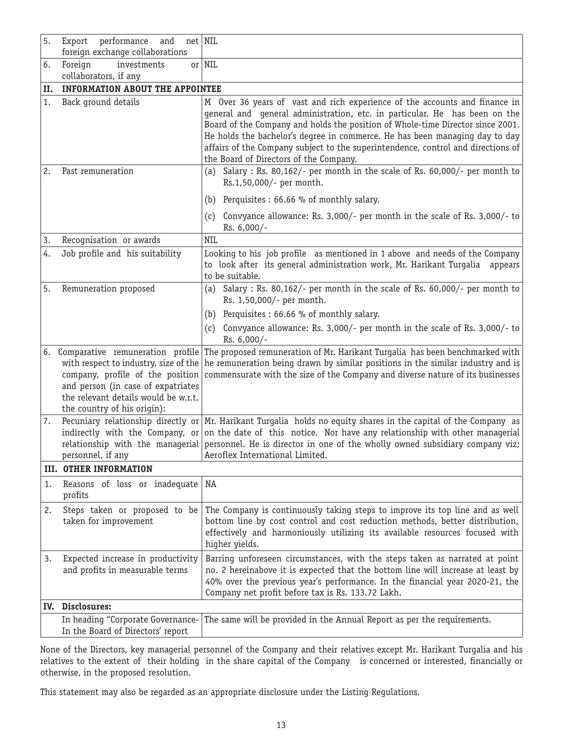| 5. | Export<br>performance<br>and<br>$net$ NIL<br>foreign exchange collaborations                                                                                                                                                  |                                                                                                                                                                                                                                                                                                                                                                                                                                                         |  |  |
|----|-------------------------------------------------------------------------------------------------------------------------------------------------------------------------------------------------------------------------------|---------------------------------------------------------------------------------------------------------------------------------------------------------------------------------------------------------------------------------------------------------------------------------------------------------------------------------------------------------------------------------------------------------------------------------------------------------|--|--|
| 6. | Foreign<br>investments                                                                                                                                                                                                        | $or$ NIL                                                                                                                                                                                                                                                                                                                                                                                                                                                |  |  |
|    | collaborators, if any                                                                                                                                                                                                         |                                                                                                                                                                                                                                                                                                                                                                                                                                                         |  |  |
| н. | <b>INFORMATION ABOUT THE APPOINTEE</b>                                                                                                                                                                                        |                                                                                                                                                                                                                                                                                                                                                                                                                                                         |  |  |
| 1. | Back ground details                                                                                                                                                                                                           | M Over 36 years of vast and rich experience of the accounts and finance in<br>general and general administration, etc. in particular. He has been on the<br>Board of the Company and holds the position of Whole-time Director since 2001.<br>He holds the bachelor's degree in commerce. He has been managing day to day<br>affairs of the Company subject to the superintendence, control and directions of<br>the Board of Directors of the Company. |  |  |
| 2. | Past remuneration                                                                                                                                                                                                             | Salary : Rs. 80,162/- per month in the scale of Rs. 60,000/- per month to<br>(a)<br>Rs.1,50,000/- per month.                                                                                                                                                                                                                                                                                                                                            |  |  |
|    |                                                                                                                                                                                                                               | Perquisites : 66.66 % of monthly salary.<br>(b)                                                                                                                                                                                                                                                                                                                                                                                                         |  |  |
|    |                                                                                                                                                                                                                               | Convyance allowance: Rs. 3,000/- per month in the scale of Rs. 3,000/- to<br>(c)<br>Rs. 6,000/-                                                                                                                                                                                                                                                                                                                                                         |  |  |
| 3. | Recognisation or awards                                                                                                                                                                                                       | <b>NIL</b>                                                                                                                                                                                                                                                                                                                                                                                                                                              |  |  |
| 4. | Job profile and his suitability                                                                                                                                                                                               | Looking to his job profile as mentioned in 1 above and needs of the Company<br>to look after its general administration work, Mr. Harikant Turgalia appears<br>to be suitable.                                                                                                                                                                                                                                                                          |  |  |
| 5. | Remuneration proposed                                                                                                                                                                                                         | Salary : Rs. 80,162/- per month in the scale of Rs. 60,000/- per month to<br>(a)<br>Rs. 1,50,000/- per month.                                                                                                                                                                                                                                                                                                                                           |  |  |
|    |                                                                                                                                                                                                                               | (b) Perquisites : 66.66 % of monthly salary.                                                                                                                                                                                                                                                                                                                                                                                                            |  |  |
|    |                                                                                                                                                                                                                               | Convyance allowance: Rs. 3,000/- per month in the scale of Rs. 3,000/- to<br>(c)<br>Rs. 6,000/-                                                                                                                                                                                                                                                                                                                                                         |  |  |
|    | 6. Comparative remuneration profile<br>with respect to industry, size of the<br>company, profile of the position<br>and person (in case of expatriates<br>the relevant details would be w.r.t.<br>the country of his origin): | The proposed remuneration of Mr. Harikant Turgalia has been benchmarked with<br>he remuneration being drawn by similar positions in the similar industry and is<br>commensurate with the size of the Company and diverse nature of its businesses                                                                                                                                                                                                       |  |  |
| 7. | indirectly with the Company, or<br>relationship with the managerial<br>personnel, if any                                                                                                                                      | Pecuniary relationship directly or $ Mr $ . Harikant Turgalia holds no equity shares in the capital of the Company as<br>on the date of this notice. Nor have any relationship with other managerial<br>personnel. He is director in one of the wholly owned subsidiary company viz;<br>Aeroflex International Limited.                                                                                                                                 |  |  |
|    | <b>III. OTHER INFORMATION</b>                                                                                                                                                                                                 |                                                                                                                                                                                                                                                                                                                                                                                                                                                         |  |  |
| 1. | Reasons of loss or inadequate<br>profits                                                                                                                                                                                      | NA                                                                                                                                                                                                                                                                                                                                                                                                                                                      |  |  |
| 2. | Steps taken or proposed to be<br>taken for improvement                                                                                                                                                                        | The Company is continuously taking steps to improve its top line and as well<br>bottom line by cost control and cost reduction methods, better distribution,<br>effectively and harmoniously utilizing its available resources focused with<br>higher yields.                                                                                                                                                                                           |  |  |
| 3. | Expected increase in productivity<br>and profits in measurable terms                                                                                                                                                          | Barring unforeseen circumstances, with the steps taken as narrated at point<br>no. 2 hereinabove it is expected that the bottom line will increase at least by<br>40% over the previous year's performance. In the financial year 2020-21, the<br>Company net profit before tax is Rs. 133.72 Lakh.                                                                                                                                                     |  |  |
|    | IV. Disclosures:                                                                                                                                                                                                              |                                                                                                                                                                                                                                                                                                                                                                                                                                                         |  |  |
|    | In heading "Corporate Governance-<br>In the Board of Directors' report                                                                                                                                                        | The same will be provided in the Annual Report as per the requirements.                                                                                                                                                                                                                                                                                                                                                                                 |  |  |

None of the Directors, key managerial personnel of the Company and their relatives except Mr. Harikant Turgalia and his relatives to the extent of their holding in the share capital of the Company is concerned or interested, financially or otherwise, in the proposed resolution.

This statement may also be regarded as an appropriate disclosure under the Listing Regulations.